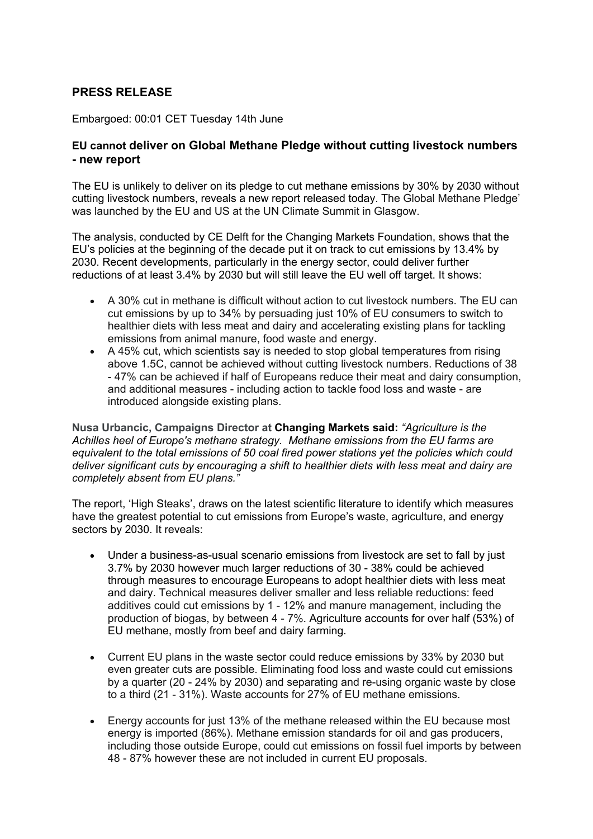# **PRESS RELEASE**

Embargoed: 00:01 CET Tuesday 14th June

## **EU cannot deliver on Global Methane Pledge without cutting livestock numbers - new report**

The EU is unlikely to deliver on its pledge to cut methane emissions by 30% by 2030 without cutting livestock numbers, reveals a new report released today. The Global Methane Pledge' was launched by the EU and US at the UN Climate Summit in Glasgow.

The analysis, conducted by CE Delft for the Changing Markets Foundation, shows that the EU's policies at the beginning of the decade put it on track to cut emissions by 13.4% by 2030. Recent developments, particularly in the energy sector, could deliver further reductions of at least 3.4% by 2030 but will still leave the EU well off target. It shows:

- A 30% cut in methane is difficult without action to cut livestock numbers. The EU can cut emissions by up to 34% by persuading just 10% of EU consumers to switch to healthier diets with less meat and dairy and accelerating existing plans for tackling emissions from animal manure, food waste and energy.
- A 45% cut, which scientists say is needed to stop global temperatures from rising above 1.5C, cannot be achieved without cutting livestock numbers. Reductions of 38 - 47% can be achieved if half of Europeans reduce their meat and dairy consumption, and additional measures - including action to tackle food loss and waste - are introduced alongside existing plans.

**Nusa Urbancic, Campaigns Director at Changing Markets said:** *"Agriculture is the Achilles heel of Europe's methane strategy. Methane emissions from the EU farms are equivalent to the total emissions of 50 coal fired power stations yet the policies which could deliver significant cuts by encouraging a shift to healthier diets with less meat and dairy are completely absent from EU plans."*

The report, 'High Steaks', draws on the latest scientific literature to identify which measures have the greatest potential to cut emissions from Europe's waste, agriculture, and energy sectors by 2030. It reveals:

- Under a business-as-usual scenario emissions from livestock are set to fall by just 3.7% by 2030 however much larger reductions of 30 - 38% could be achieved through measures to encourage Europeans to adopt healthier diets with less meat and dairy. Technical measures deliver smaller and less reliable reductions: feed additives could cut emissions by 1 - 12% and manure management, including the production of biogas, by between 4 - 7%. Agriculture accounts for over half (53%) of EU methane, mostly from beef and dairy farming.
- Current EU plans in the waste sector could reduce emissions by 33% by 2030 but even greater cuts are possible. Eliminating food loss and waste could cut emissions by a quarter (20 - 24% by 2030) and separating and re-using organic waste by close to a third (21 - 31%). Waste accounts for 27% of EU methane emissions.
- Energy accounts for just 13% of the methane released within the EU because most energy is imported (86%). Methane emission standards for oil and gas producers, including those outside Europe, could cut emissions on fossil fuel imports by between 48 - 87% however these are not included in current EU proposals.